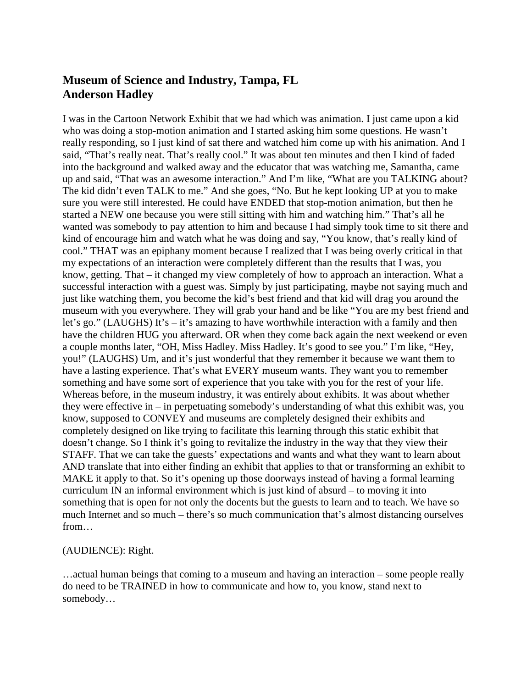## **Museum of Science and Industry, Tampa, FL Anderson Hadley**

I was in the Cartoon Network Exhibit that we had which was animation. I just came upon a kid who was doing a stop-motion animation and I started asking him some questions. He wasn't really responding, so I just kind of sat there and watched him come up with his animation. And I said, "That's really neat. That's really cool." It was about ten minutes and then I kind of faded into the background and walked away and the educator that was watching me, Samantha, came up and said, "That was an awesome interaction." And I'm like, "What are you TALKING about? The kid didn't even TALK to me." And she goes, "No. But he kept looking UP at you to make sure you were still interested. He could have ENDED that stop-motion animation, but then he started a NEW one because you were still sitting with him and watching him." That's all he wanted was somebody to pay attention to him and because I had simply took time to sit there and kind of encourage him and watch what he was doing and say, "You know, that's really kind of cool." THAT was an epiphany moment because I realized that I was being overly critical in that my expectations of an interaction were completely different than the results that I was, you know, getting. That – it changed my view completely of how to approach an interaction. What a successful interaction with a guest was. Simply by just participating, maybe not saying much and just like watching them, you become the kid's best friend and that kid will drag you around the museum with you everywhere. They will grab your hand and be like "You are my best friend and let's go." (LAUGHS) It's – it's amazing to have worthwhile interaction with a family and then have the children HUG you afterward. OR when they come back again the next weekend or even a couple months later, "OH, Miss Hadley. Miss Hadley. It's good to see you." I'm like, "Hey, you!" (LAUGHS) Um, and it's just wonderful that they remember it because we want them to have a lasting experience. That's what EVERY museum wants. They want you to remember something and have some sort of experience that you take with you for the rest of your life. Whereas before, in the museum industry, it was entirely about exhibits. It was about whether they were effective in – in perpetuating somebody's understanding of what this exhibit was, you know, supposed to CONVEY and museums are completely designed their exhibits and completely designed on like trying to facilitate this learning through this static exhibit that doesn't change. So I think it's going to revitalize the industry in the way that they view their STAFF. That we can take the guests' expectations and wants and what they want to learn about AND translate that into either finding an exhibit that applies to that or transforming an exhibit to MAKE it apply to that. So it's opening up those doorways instead of having a formal learning curriculum IN an informal environment which is just kind of absurd – to moving it into something that is open for not only the docents but the guests to learn and to teach. We have so much Internet and so much – there's so much communication that's almost distancing ourselves from…

## (AUDIENCE): Right.

…actual human beings that coming to a museum and having an interaction – some people really do need to be TRAINED in how to communicate and how to, you know, stand next to somebody…